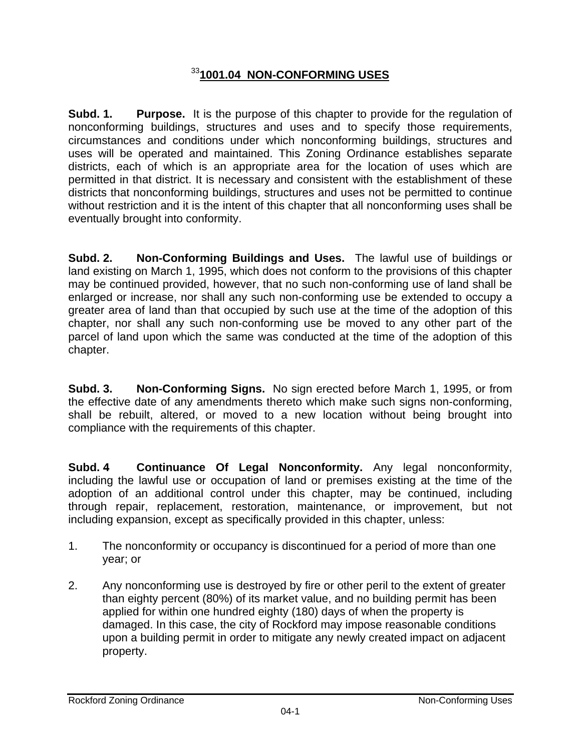## <sup>33</sup>**1001.04 NON-CONFORMING USES**

**Subd. 1. Purpose.** It is the purpose of this chapter to provide for the regulation of nonconforming buildings, structures and uses and to specify those requirements, circumstances and conditions under which nonconforming buildings, structures and uses will be operated and maintained. This Zoning Ordinance establishes separate districts, each of which is an appropriate area for the location of uses which are permitted in that district. It is necessary and consistent with the establishment of these districts that nonconforming buildings, structures and uses not be permitted to continue without restriction and it is the intent of this chapter that all nonconforming uses shall be eventually brought into conformity.

**Subd. 2. Non-Conforming Buildings and Uses.** The lawful use of buildings or land existing on March 1, 1995, which does not conform to the provisions of this chapter may be continued provided, however, that no such non-conforming use of land shall be enlarged or increase, nor shall any such non-conforming use be extended to occupy a greater area of land than that occupied by such use at the time of the adoption of this chapter, nor shall any such non-conforming use be moved to any other part of the parcel of land upon which the same was conducted at the time of the adoption of this chapter.

**Subd. 3. Non-Conforming Signs.** No sign erected before March 1, 1995, or from the effective date of any amendments thereto which make such signs non-conforming, shall be rebuilt, altered, or moved to a new location without being brought into compliance with the requirements of this chapter.

**Subd. 4 Continuance Of Legal Nonconformity.** Any legal nonconformity, including the lawful use or occupation of land or premises existing at the time of the adoption of an additional control under this chapter, may be continued, including through repair, replacement, restoration, maintenance, or improvement, but not including expansion, except as specifically provided in this chapter, unless:

- 1. The nonconformity or occupancy is discontinued for a period of more than one year; or
- 2. Any nonconforming use is destroyed by fire or other peril to the extent of greater than eighty percent (80%) of its market value, and no building permit has been applied for within one hundred eighty (180) days of when the property is damaged. In this case, the city of Rockford may impose reasonable conditions upon a building permit in order to mitigate any newly created impact on adjacent property.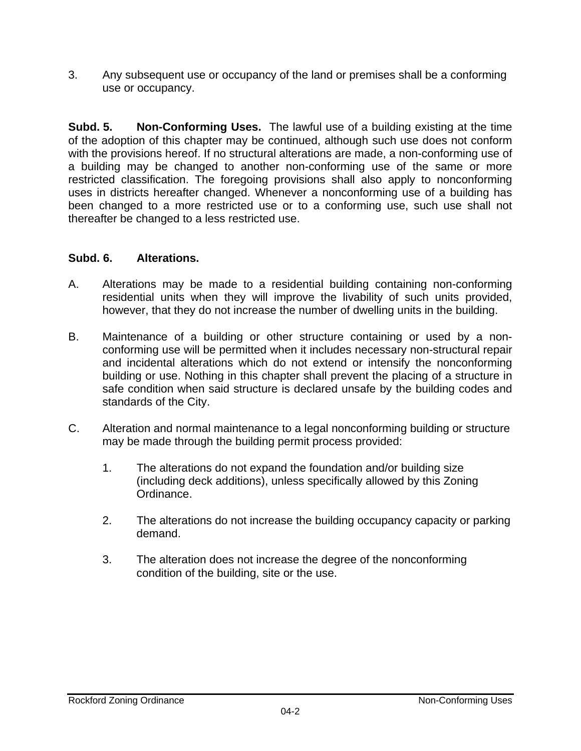3. Any subsequent use or occupancy of the land or premises shall be a conforming use or occupancy.

**Subd. 5. Non-Conforming Uses.** The lawful use of a building existing at the time of the adoption of this chapter may be continued, although such use does not conform with the provisions hereof. If no structural alterations are made, a non-conforming use of a building may be changed to another non-conforming use of the same or more restricted classification. The foregoing provisions shall also apply to nonconforming uses in districts hereafter changed. Whenever a nonconforming use of a building has been changed to a more restricted use or to a conforming use, such use shall not thereafter be changed to a less restricted use.

## **Subd. 6. Alterations.**

- A. Alterations may be made to a residential building containing non-conforming residential units when they will improve the livability of such units provided, however, that they do not increase the number of dwelling units in the building.
- B. Maintenance of a building or other structure containing or used by a nonconforming use will be permitted when it includes necessary non-structural repair and incidental alterations which do not extend or intensify the nonconforming building or use. Nothing in this chapter shall prevent the placing of a structure in safe condition when said structure is declared unsafe by the building codes and standards of the City.
- C. Alteration and normal maintenance to a legal nonconforming building or structure may be made through the building permit process provided:
	- 1. The alterations do not expand the foundation and/or building size (including deck additions), unless specifically allowed by this Zoning Ordinance.
	- 2. The alterations do not increase the building occupancy capacity or parking demand.
	- 3. The alteration does not increase the degree of the nonconforming condition of the building, site or the use.